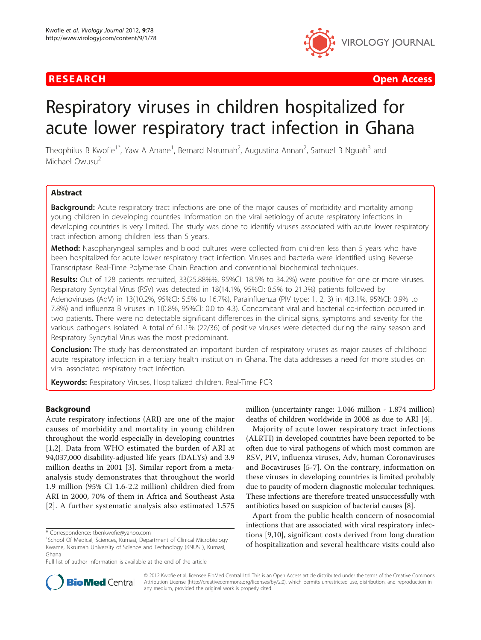

**RESEARCH Open Access Contract Contract Contract Contract Contract Contract Contract Contract Contract Contract Contract Contract Contract Contract Contract Contract Contract Contract Contract Contract Contract Contract** 

# Respiratory viruses in children hospitalized for acute lower respiratory tract infection in Ghana

Theophilus B Kwofie<sup>1\*</sup>, Yaw A Anane<sup>1</sup>, Bernard Nkrumah<sup>2</sup>, Augustina Annan<sup>2</sup>, Samuel B Nguah<sup>3</sup> and Michael Owusu<sup>2</sup>

# Abstract

**Background:** Acute respiratory tract infections are one of the major causes of morbidity and mortality among young children in developing countries. Information on the viral aetiology of acute respiratory infections in developing countries is very limited. The study was done to identify viruses associated with acute lower respiratory tract infection among children less than 5 years.

Method: Nasopharyngeal samples and blood cultures were collected from children less than 5 years who have been hospitalized for acute lower respiratory tract infection. Viruses and bacteria were identified using Reverse Transcriptase Real-Time Polymerase Chain Reaction and conventional biochemical techniques.

Results: Out of 128 patients recruited, 33(25.88%%, 95%CI: 18.5% to 34.2%) were positive for one or more viruses. Respiratory Syncytial Virus (RSV) was detected in 18(14.1%, 95%CI: 8.5% to 21.3%) patients followed by Adenoviruses (AdV) in 13(10.2%, 95%CI: 5.5% to 16.7%), Parainfluenza (PIV type: 1, 2, 3) in 4(3.1%, 95%CI: 0.9% to 7.8%) and influenza B viruses in 1(0.8%, 95%CI: 0.0 to 4.3). Concomitant viral and bacterial co-infection occurred in two patients. There were no detectable significant differences in the clinical signs, symptoms and severity for the various pathogens isolated. A total of 61.1% (22/36) of positive viruses were detected during the rainy season and Respiratory Syncytial Virus was the most predominant.

**Conclusion:** The study has demonstrated an important burden of respiratory viruses as major causes of childhood acute respiratory infection in a tertiary health institution in Ghana. The data addresses a need for more studies on viral associated respiratory tract infection.

Keywords: Respiratory Viruses, Hospitalized children, Real-Time PCR

# Background

Acute respiratory infections (ARI) are one of the major causes of morbidity and mortality in young children throughout the world especially in developing countries [[1,2](#page-6-0)]. Data from WHO estimated the burden of ARI at 94,037,000 disability-adjusted life years (DALYs) and 3.9 million deaths in 2001 [\[3\]](#page-6-0). Similar report from a metaanalysis study demonstrates that throughout the world 1.9 million (95% CI 1.6-2.2 million) children died from ARI in 2000, 70% of them in Africa and Southeast Asia [[2](#page-6-0)]. A further systematic analysis also estimated 1.575

million (uncertainty range: 1.046 million - 1.874 million) deaths of children worldwide in 2008 as due to ARI [[4\]](#page-6-0).

Majority of acute lower respiratory tract infections (ALRTI) in developed countries have been reported to be often due to viral pathogens of which most common are RSV, PIV, influenza viruses, Adv, human Coronaviruses and Bocaviruses [[5-7\]](#page-6-0). On the contrary, information on these viruses in developing countries is limited probably due to paucity of modern diagnostic molecular techniques. These infections are therefore treated unsuccessfully with antibiotics based on suspicion of bacterial causes [\[8\]](#page-6-0).

Apart from the public health concern of nosocomial infections that are associated with viral respiratory infections [\[9](#page-6-0),[10](#page-6-0)], significant costs derived from long duration of hospitalization and several healthcare visits could also



© 2012 Kwofie et al; licensee BioMed Central Ltd. This is an Open Access article distributed under the terms of the Creative Commons Attribution License [\(http://creativecommons.org/licenses/by/2.0](http://creativecommons.org/licenses/by/2.0)), which permits unrestricted use, distribution, and reproduction in any medium, provided the original work is properly cited.

<sup>\*</sup> Correspondence: [tbenkwofie@yahoo.com](mailto:tbenkwofie@yahoo.com)

<sup>&</sup>lt;sup>1</sup>School Of Medical, Sciences, Kumasi, Department of Clinical Microbiology Kwame, Nkrumah University of Science and Technology (KNUST), Kumasi, Ghana

Full list of author information is available at the end of the article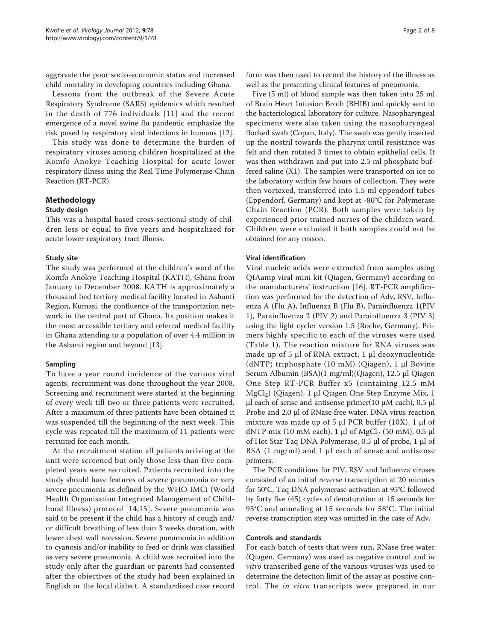aggravate the poor socio-economic status and increased child mortality in developing countries including Ghana.

Lessons from the outbreak of the Severe Acute Respiratory Syndrome (SARS) epidemics which resulted in the death of 776 individuals [[11\]](#page-6-0) and the recent emergence of a novel swine flu pandemic emphasize the risk posed by respiratory viral infections in humans [[12\]](#page-6-0).

This study was done to determine the burden of respiratory viruses among children hospitalized at the Komfo Anokye Teaching Hospital for acute lower respiratory illness using the Real Time Polymerase Chain Reaction (RT-PCR).

# Methodology

# Study design

This was a hospital based cross-sectional study of children less or equal to five years and hospitalized for acute lower respiratory tract illness.

# Study site

The study was performed at the children's ward of the Komfo Anokye Teaching Hospital (KATH), Ghana from January to December 2008. KATH is approximately a thousand bed tertiary medical facility located in Ashanti Region, Kumasi, the confluence of the transportation network in the central part of Ghana. Its position makes it the most accessible tertiary and referral medical facility in Ghana attending to a population of over 4.4 million in the Ashanti region and beyond [[13\]](#page-6-0).

### Sampling

To have a year round incidence of the various viral agents, recruitment was done throughout the year 2008. Screening and recruitment were started at the beginning of every week till two or three patients were recruited. After a maximum of three patients have been obtained it was suspended till the beginning of the next week. This cycle was repeated till the maximum of 11 patients were recruited for each month.

At the recruitment station all patients arriving at the unit were screened but only those less than five completed years were recruited. Patients recruited into the study should have features of severe pneumonia or very severe pneumonia as defined by the WHO-IMCI (World Health Organisation Integrated Management of Childhood Illness) protocol [[14,15\]](#page-6-0). Severe pneumonia was said to be present if the child has a history of cough and/ or difficult breathing of less than 3 weeks duration, with lower chest wall recession. Severe pneumonia in addition to cyanosis and/or inability to feed or drink was classified as very severe pneumonia. A child was recruited into the study only after the guardian or parents had consented after the objectives of the study had been explained in English or the local dialect. A standardized case record form was then used to record the history of the illness as well as the presenting clinical features of pneumonia.

Five (5 ml) of blood sample was then taken into 25 ml of Brain Heart Infusion Broth (BHIB) and quickly sent to the bacteriological laboratory for culture. Nasopharyngeal specimens were also taken using the nasopharyngeal flocked swab (Copan, Italy). The swab was gently inserted up the nostril towards the pharynx until resistance was felt and then rotated 3 times to obtain epithelial cells. It was then withdrawn and put into 2.5 ml phosphate buffered saline (X1). The samples were transported on ice to the laboratory within few hours of collection. They were then vortexed, transferred into 1.5 ml eppendorf tubes (Eppendorf, Germany) and kept at -80°C for Polymerase Chain Reaction (PCR). Both samples were taken by experienced prior trained nurses of the children ward. Children were excluded if both samples could not be obtained for any reason.

# Viral identification

Viral nucleic acids were extracted from samples using QIAamp viral mini kit (Qiagen, Germany) according to the manufacturers' instruction [[16\]](#page-6-0). RT-PCR amplification was performed for the detection of Adv, RSV, Influenza A (Flu A), Influenza B (Flu B), Parainfluenza 1(PIV 1), Parainfluenza 2 (PIV 2) and Parainfluenza 3 (PIV 3) using the light cycler version 1.5 (Roche, Germany). Primers highly specific to each of the viruses were used (Table [1\)](#page-2-0). The reaction mixture for RNA viruses was made up of 5 μl of RNA extract, 1 μl deoxynucleotide (dNTP) triphosphate (10 mM) (Qiagen), 1 μl Bovine Serum Albumin (BSA)(1 mg/ml)(Qiagen), 12.5 μl Qiagen One Step RT-PCR Buffer x5 (containing 12.5 mM MgCl2) (Qiagen), 1 μl Qiagen One Step Enzyme Mix, 1 μl each of sense and antisense primer(10 μM each), 0.5 μl Probe and 2.0 μl of RNase free water. DNA virus reaction mixture was made up of 5 μl PCR buffer (10X), 1 μl of dNTP mix (10 mM each), 1 μl of MgCl<sub>2</sub> (50 mM), 0.5 μl of Hot Star Taq DNA Polymerase, 0.5 μl of probe, 1 μl of BSA (1 mg/ml) and 1  $\mu$ l each of sense and antisense primers.

The PCR conditions for PIV, RSV and Influenza viruses consisted of an initial reverse transcription at 20 minutes for 50°C, Taq DNA polymerase activation at 95°C followed by forty five (45) cycles of denaturation at 15 seconds for 95°C and annealing at 15 seconds for 58°C. The initial reverse transcription step was omitted in the case of Adv.

## Controls and standards

For each batch of tests that were run, RNase free water (Qiagen, Germany) was used as negative control and in vitro transcribed gene of the various viruses was used to determine the detection limit of the assay as positive control. The *in vitro* transcripts were prepared in our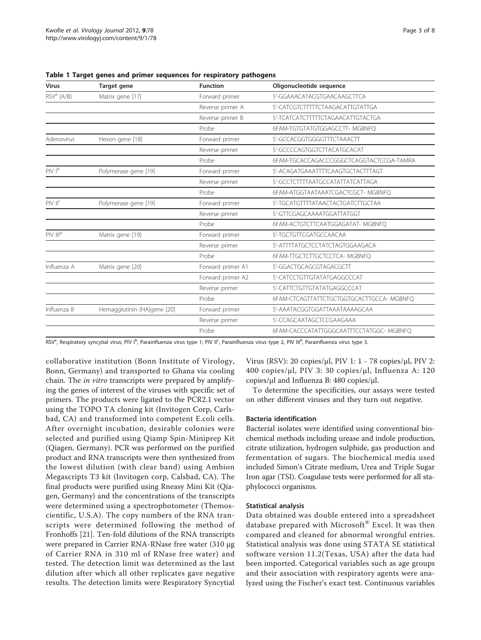| <b>Virus</b>           | <b>Target gene</b>          | <b>Function</b>   | Oligonucleotide sequence                  |
|------------------------|-----------------------------|-------------------|-------------------------------------------|
| RSV <sup>a</sup> (A/B) | Matrix gene [17]            | Forward primer    | 5'-GGAAACATACGTGAACAAGCTTCA               |
|                        |                             | Reverse primer A  | 5'-CATCGTCTTTTTCTAAGACATTGTATTGA          |
|                        |                             | Reverse primer B  | 5'-TCATCATCTTTTTCTAGAACATTGTACTGA         |
|                        |                             | Probe             | 6FAM-TGTGTATGTGGAGCCTT- MGBNFQ            |
| Adenovirus             | Hexon gene [18]             | Forward primer    | 5'-GCCACGGTGGGGTTTCTAAACTT                |
|                        |                             | Reverse primer    | 5'-GCCCCAGTGGTCTTACATGCACAT               |
|                        |                             | Probe             | 6FAM-TGCACCAGACCCGGGCTCAGGTACTCCGA-TAMRA  |
| $PIV$ <sup>b</sup>     | Polymerase gene [19]        | Forward primer    | 5'-ACAGATGAAATTTTCAAGTGCTACTTTAGT         |
|                        |                             | Reverse primer    | 5'-GCCTCTTTTAATGCCATATTATCATTAGA          |
|                        |                             | Probe             | 6FAM-ATGGTAATAAATCGACTCGCT- MGBNFO        |
| PIV II <sup>c</sup>    | Polymerase gene [19]        | Forward primer    | 5'-TGCATGTTTTATAACTACTGATCTTGCTAA         |
|                        |                             | Reverse primer    | 5'-GTTCGAGCAAAATGGATTATGGT                |
|                        |                             | Probe             | 6FAM-ACTGTCTTCAATGGAGATAT- MGBNFO         |
| $PIV$ $IIId$           | Matrix gene [19]            | Forward primer    | 5'-TGCTGTTCGATGCCAACAA                    |
|                        |                             | Reverse primer    | 5'-ATTTTATGCTCCTATCTAGTGGAAGACA           |
|                        |                             | Probe             | 6FAM-TTGCTCTTGCTCCTCA- MGBNFO             |
| Influenza A            | Matrix gene [20]            | Forward primer A1 | 5'-GGACTGCAGCGTAGACGCTT                   |
|                        |                             | Forward primer A2 | 5'-CATCCTGTTGTATATGAGGCCCAT               |
|                        |                             | Reverse primer    | 5'-CATTCTGTTGTATATGAGGCCCAT               |
|                        |                             | Probe             | 6FAM-CTCAGTTATTCTGCTGGTGCACTTGCCA- MGBNFQ |
| Influenza B            | Hemagglutinin (HA)gene [20] | Forward primer    | 5'-AAATACGGTGGATTAAATAAAAGCAA             |
|                        |                             | Reverse primer    | 5'-CCAGCAATAGCTCCGAAGAAA                  |
|                        |                             | Probe             | 6FAM-CACCCATATTGGGCAATTTCCTATGGC-MGBNFQ   |

<span id="page-2-0"></span>Table 1 Target genes and primer sequences for respiratory pathogens

RSV<sup>a</sup>, Respiratory syncytial virus; PIV I<sup>b</sup>, Parainfluenza virus type 1; PIV II<sup>c</sup>, Parainfluenza virus type 2, PIV III<sup>d</sup>, Parainfluenza virus type 3.

collaborative institution (Bonn Institute of Virology, Bonn, Germany) and transported to Ghana via cooling chain. The *in vitro* transcripts were prepared by amplifying the genes of interest of the viruses with specific set of primers. The products were ligated to the PCR2.1 vector using the TOPO TA cloning kit (Invitogen Corp, Carlsbad, CA) and transformed into competent E.coli cells. After overnight incubation, desirable colonies were selected and purified using Qiamp Spin-Miniprep Kit (Qiagen, Germany). PCR was performed on the purified product and RNA transcripts were then synthesized from the lowest dilution (with clear band) using Ambion Megascripts T3 kit (Invitogen corp, Calsbad, CA). The final products were purified using Rneasy Mini Kit (Qiagen, Germany) and the concentrations of the transcripts were determined using a spectrophotometer (Themoscientific, U.S.A). The copy numbers of the RNA transcripts were determined following the method of Fronhoffs [\[21\]](#page-6-0). Ten-fold dilutions of the RNA transcripts were prepared in Carrier RNA-RNase free water (310 μg of Carrier RNA in 310 ml of RNase free water) and tested. The detection limit was determined as the last dilution after which all other replicates gave negative results. The detection limits were Respiratory Syncytial

Virus (RSV): 20 copies/μl, PIV 1: 1 - 78 copies/μl, PIV 2: 400 copies/μl, PIV 3: 30 copies/μl, Influenza A: 120 copies/μl and Influenza B: 480 copies/μl.

To determine the specificities, our assays were tested on other different viruses and they turn out negative.

# Bacteria identification

Bacterial isolates were identified using conventional biochemical methods including urease and indole production, citrate utilization, hydrogen sulphide, gas production and fermentation of sugars. The biochemical media used included Simon's Citrate medium, Urea and Triple Sugar Iron agar (TSI). Coagulase tests were performed for all staphylococci organisms.

# Statistical analysis

Data obtained was double entered into a spreadsheet database prepared with Microsoft® Excel. It was then compared and cleaned for abnormal wrongful entries. Statistical analysis was done using STATA SE statistical software version 11.2(Texas, USA) after the data had been imported. Categorical variables such as age groups and their association with respiratory agents were analyzed using the Fischer's exact test. Continuous variables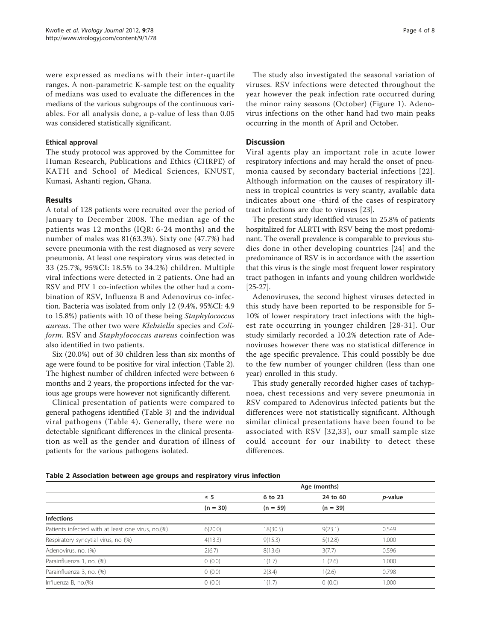were expressed as medians with their inter-quartile ranges. A non-parametric K-sample test on the equality of medians was used to evaluate the differences in the medians of the various subgroups of the continuous variables. For all analysis done, a p-value of less than 0.05 was considered statistically significant.

# Ethical approval

The study protocol was approved by the Committee for Human Research, Publications and Ethics (CHRPE) of KATH and School of Medical Sciences, KNUST, Kumasi, Ashanti region, Ghana.

# Results

A total of 128 patients were recruited over the period of January to December 2008. The median age of the patients was 12 months (IQR: 6-24 months) and the number of males was 81(63.3%). Sixty one (47.7%) had severe pneumonia with the rest diagnosed as very severe pneumonia. At least one respiratory virus was detected in 33 (25.7%, 95%CI: 18.5% to 34.2%) children. Multiple viral infections were detected in 2 patients. One had an RSV and PIV 1 co-infection whiles the other had a combination of RSV, Influenza B and Adenovirus co-infection. Bacteria was isolated from only 12 (9.4%, 95%CI: 4.9 to 15.8%) patients with 10 of these being Staphylococcus aureus. The other two were Klebsiella species and Coliform. RSV and Staphylococcus aureus coinfection was also identified in two patients.

Six (20.0%) out of 30 children less than six months of age were found to be positive for viral infection (Table 2). The highest number of children infected were between 6 months and 2 years, the proportions infected for the various age groups were however not significantly different.

Clinical presentation of patients were compared to general pathogens identified (Table [3\)](#page-4-0) and the individual viral pathogens (Table [4\)](#page-4-0). Generally, there were no detectable significant differences in the clinical presentation as well as the gender and duration of illness of patients for the various pathogens isolated.

The study also investigated the seasonal variation of viruses. RSV infections were detected throughout the year however the peak infection rate occurred during the minor rainy seasons (October) (Figure [1](#page-5-0)). Adenovirus infections on the other hand had two main peaks occurring in the month of April and October.

# **Discussion**

Viral agents play an important role in acute lower respiratory infections and may herald the onset of pneumonia caused by secondary bacterial infections [[22\]](#page-7-0). Although information on the causes of respiratory illness in tropical countries is very scanty, available data indicates about one -third of the cases of respiratory tract infections are due to viruses [[23\]](#page-7-0).

The present study identified viruses in 25.8% of patients hospitalized for ALRTI with RSV being the most predominant. The overall prevalence is comparable to previous studies done in other developing countries [[24\]](#page-7-0) and the predominance of RSV is in accordance with the assertion that this virus is the single most frequent lower respiratory tract pathogen in infants and young children worldwide [[25](#page-7-0)-[27](#page-7-0)].

Adenoviruses, the second highest viruses detected in this study have been reported to be responsible for 5- 10% of lower respiratory tract infections with the highest rate occurring in younger children [[28-31](#page-7-0)]. Our study similarly recorded a 10.2% detection rate of Adenoviruses however there was no statistical difference in the age specific prevalence. This could possibly be due to the few number of younger children (less than one year) enrolled in this study.

This study generally recorded higher cases of tachypnoea, chest recessions and very severe pneumonia in RSV compared to Adenovirus infected patients but the differences were not statistically significant. Although similar clinical presentations have been found to be associated with RSV [[32,33\]](#page-7-0), our small sample size could account for our inability to detect these differences.

| Table 2 Association between age groups and respiratory virus infection |  |  |  |  |  |  |  |  |  |  |
|------------------------------------------------------------------------|--|--|--|--|--|--|--|--|--|--|
|------------------------------------------------------------------------|--|--|--|--|--|--|--|--|--|--|

|                                                   | Age (months) |            |            |                 |  |
|---------------------------------------------------|--------------|------------|------------|-----------------|--|
|                                                   | $\leq$ 5     | 6 to 23    | 24 to 60   | <i>p</i> -value |  |
|                                                   | $(n = 30)$   | $(n = 59)$ | $(n = 39)$ |                 |  |
| <b>Infections</b>                                 |              |            |            |                 |  |
| Patients infected with at least one virus, no.(%) | 6(20.0)      | 18(30.5)   | 9(23.1)    | 0.549           |  |
| Respiratory syncytial virus, no (%)               | 4(13.3)      | 9(15.3)    | 5(12.8)    | 1.000           |  |
| Adenovirus, no. (%)                               | 2(6.7)       | 8(13.6)    | 3(7.7)     | 0.596           |  |
| Parainfluenza 1, no. (%)                          | 0(0.0)       | 1(1.7)     | 1(2.6)     | 1.000           |  |
| Parainfluenza 3, no. (%)                          | 0(0.0)       | 2(3.4)     | 1(2.6)     | 0.798           |  |
| Influenza B, no.(%)                               | 0(0.0)       | 1(1.7)     | 0(0.0)     | 1.000           |  |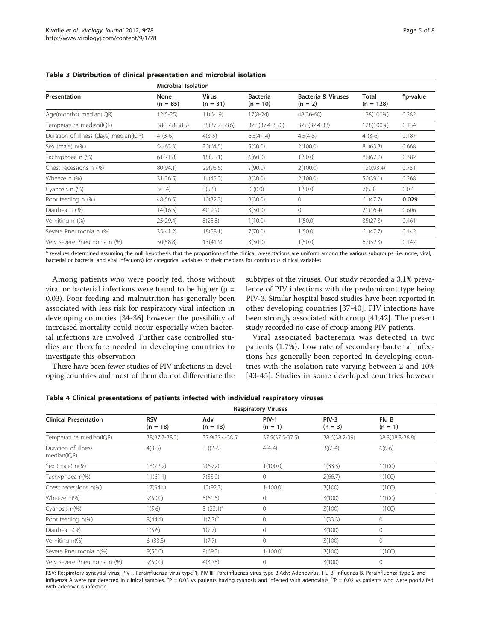|                                        | <b>Microbial Isolation</b> |                            |                               |                                            |                      |          |
|----------------------------------------|----------------------------|----------------------------|-------------------------------|--------------------------------------------|----------------------|----------|
| Presentation                           | None<br>$(n = 85)$         | <b>Virus</b><br>$(n = 31)$ | <b>Bacteria</b><br>$(n = 10)$ | <b>Bacteria &amp; Viruses</b><br>$(n = 2)$ | Total<br>$(n = 128)$ | *p-value |
| Age(months) median(IQR)                | $12(5-25)$                 | $11(6-19)$                 | $17(8-24)$                    | 48(36-60)                                  | 128(100%)            | 0.282    |
| Temperature median(IQR)                | 38(37.8-38.5)              | 38(37.7-38.6)              | 37.8(37.4-38.0)               | 37.8(37.4-38)                              | 128(100%)            | 0.134    |
| Duration of illness (days) median(IQR) | $4(3-6)$                   | $4(3-5)$                   | $6.5(4-14)$                   | $4.5(4-5)$                                 | $4(3-6)$             | 0.187    |
| Sex (male) n(%)                        | 54(63.3)                   | 20(64.5)                   | 5(50.0)                       | 2(100.0)                                   | 81(63.3)             | 0.668    |
| Tachypnoea n (%)                       | 61(71.8)                   | 18(58.1)                   | 6(60.0)                       | 1(50.0)                                    | 86(67.2)             | 0.382    |
| Chest recessions n (%)                 | 80(94.1)                   | 29(93.6)                   | 9(90.0)                       | 2(100.0)                                   | 120(93.4)            | 0.751    |
| Wheeze n (%)                           | 31(36.5)                   | 14(45.2)                   | 3(30.0)                       | 2(100.0)                                   | 50(39.1)             | 0.268    |
| Cyanosis n (%)                         | 3(3.4)                     | 3(5.5)                     | 0(0.0)                        | 1(50.0)                                    | 7(5.3)               | 0.07     |
| Poor feeding n (%)                     | 48(56.5)                   | 10(32.3)                   | 3(30.0)                       | $\mathbf{0}$                               | 61(47.7)             | 0.029    |
| Diarrhea n (%)                         | 14(16.5)                   | 4(12.9)                    | 3(30.0)                       | $\Omega$                                   | 21(16.4)             | 0.606    |
| Vomiting n (%)                         | 25(29.4)                   | 8(25.8)                    | 1(10.0)                       | 1(50.0)                                    | 35(27.3)             | 0.461    |
| Severe Pneumonia n (%)                 | 35(41.2)                   | 18(58.1)                   | 7(70.0)                       | 1(50.0)                                    | 61(47.7)             | 0.142    |
| Very severe Pneumonia n (%)            | 50(58.8)                   | 13(41.9)                   | 3(30.0)                       | 1(50.0)                                    | 67(52.3)             | 0.142    |

<span id="page-4-0"></span>Table 3 Distribution of clinical presentation and microbial isolation

\* p-values determined assuming the null hypothesis that the proportions of the clinical presentations are uniform among the various subgroups (i.e. none, viral, bacterial or bacterial and viral infections) for categorical variables or their medians for continuous clinical variables

Among patients who were poorly fed, those without viral or bacterial infections were found to be higher ( $p =$ 0.03). Poor feeding and malnutrition has generally been associated with less risk for respiratory viral infection in developing countries [[34](#page-7-0)-[36\]](#page-7-0) however the possibility of increased mortality could occur especially when bacterial infections are involved. Further case controlled studies are therefore needed in developing countries to investigate this observation

subtypes of the viruses. Our study recorded a 3.1% prevalence of PIV infections with the predominant type being PIV-3. Similar hospital based studies have been reported in other developing countries [[37-40\]](#page-7-0). PIV infections have been strongly associated with croup [[41,42\]](#page-7-0). The present study recorded no case of croup among PIV patients.

Viral associated bacteremia was detected in two patients (1.7%). Low rate of secondary bacterial infections has generally been reported in developing countries with the isolation rate varying between 2 and 10% [[43](#page-7-0)-[45](#page-7-0)]. Studies in some developed countries however

There have been fewer studies of PIV infections in developing countries and most of them do not differentiate the

| <b>Clinical Presentation</b>       | <b>RSV</b><br>$(n = 18)$ | Adv<br>$(n = 13)$ | <b>PIV-1</b><br>$(n = 1)$ | $PIV-3$<br>$(n = 3)$ | Flu B<br>$(n = 1)$ |
|------------------------------------|--------------------------|-------------------|---------------------------|----------------------|--------------------|
| Temperature median(IQR)            | 38(37.7-38.2)            | 37.9(37.4-38.5)   | 37.5(37.5-37.5)           | 38.6(38.2-39)        | 38.8(38.8-38.8)    |
| Duration of illness<br>median(IQR) | $4(3-5)$                 | $3((2-6)$         | $4(4-4)$                  | $3((2-4)$            | $6(6-6)$           |
| Sex (male) n(%)                    | 13(72.2)                 | 9(69.2)           | 1(100.0)                  | 1(33.3)              | 1(100)             |
| Tachypnoea n(%)                    | 11(61.1)                 | 7(53.9)           | 0                         | 2(66.7)              | 1(100)             |
| Chest recessions n(%)              | 17(94.4)                 | 12(92.3)          | 1(100.0)                  | 3(100)               | 1(100)             |
| Wheeze n(%)                        | 9(50.0)                  | 8(61.5)           | 0                         | 3(100)               | 1(100)             |
| Cyanosis n(%)                      | 1(5.6)                   | $3(23.1)^a$       | 0                         | 3(100)               | 1(100)             |
| Poor feeding n(%)                  | 8(44.4)                  | $1(7.7)^{b}$      | 0                         | 1(33.3)              | 0                  |
| Diarrhea n(%)                      | 1(5.6)                   | 1(7.7)            | 0                         | 3(100)               | 0                  |
| Vomiting n(%)                      | 6(33.3)                  | 1(7.7)            | 0                         | 3(100)               | 0                  |
| Severe Pneumonia n(%)              | 9(50.0)                  | 9(69.2)           | 1(100.0)                  | 3(100)               | 1(100)             |
| Very severe Pneumonia n (%)        | 9(50.0)                  | 4(30.8)           | 0                         | 3(100)               | 0                  |

Table 4 Clinical presentations of patients infected with individual respiratory viruses

RSV; Respiratory syncytial virus; PIV-I, Parainfluenza virus type 1, PIV-III; Parainfluenza virus type 3,Adv; Adenovirus, Flu B; Influenza B. Parainfluenza type 2 and Influenza A were not detected in clinical samples. <sup>a</sup>P = 0.03 vs patients having cyanosis and infected with adenovirus. <sup>b</sup>P = 0.02 vs patients who were poorly fed with adenovirus infection.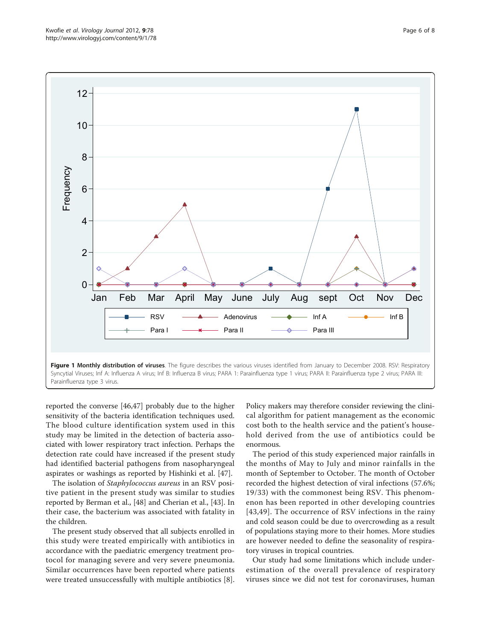<span id="page-5-0"></span>

reported the converse [[46,47](#page-7-0)] probably due to the higher sensitivity of the bacteria identification techniques used. The blood culture identification system used in this study may be limited in the detection of bacteria associated with lower respiratory tract infection. Perhaps the detection rate could have increased if the present study had identified bacterial pathogens from nasopharyngeal aspirates or washings as reported by Hishinki et al. [[47\]](#page-7-0).

The isolation of Staphylococcus aureus in an RSV positive patient in the present study was similar to studies reported by Berman et al., [\[48](#page-7-0)] and Cherian et al., [\[43\]](#page-7-0). In their case, the bacterium was associated with fatality in the children.

The present study observed that all subjects enrolled in this study were treated empirically with antibiotics in accordance with the paediatric emergency treatment protocol for managing severe and very severe pneumonia. Similar occurrences have been reported where patients were treated unsuccessfully with multiple antibiotics [\[8](#page-6-0)].

Policy makers may therefore consider reviewing the clinical algorithm for patient management as the economic cost both to the health service and the patient's household derived from the use of antibiotics could be enormous.

The period of this study experienced major rainfalls in the months of May to July and minor rainfalls in the month of September to October. The month of October recorded the highest detection of viral infections (57.6%; 19/33) with the commonest being RSV. This phenomenon has been reported in other developing countries [[43](#page-7-0),[49](#page-7-0)]. The occurrence of RSV infections in the rainy and cold season could be due to overcrowding as a result of populations staying more to their homes. More studies are however needed to define the seasonality of respiratory viruses in tropical countries.

Our study had some limitations which include underestimation of the overall prevalence of respiratory viruses since we did not test for coronaviruses, human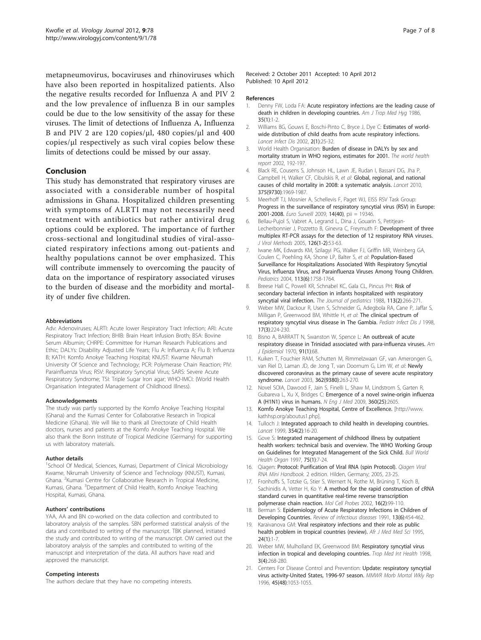<span id="page-6-0"></span>metapneumovirus, bocaviruses and rhinoviruses which have also been reported in hospitalized patients. Also the negative results recorded for Influenza A and PIV 2 and the low prevalence of influenza B in our samples could be due to the low sensitivity of the assay for these viruses. The limit of detections of Influenza A, Influenza B and PIV 2 are 120 copies/μl, 480 copies/μl and 400 copies/μl respectively as such viral copies below these limits of detections could be missed by our assay.

# Conclusion

This study has demonstrated that respiratory viruses are associated with a considerable number of hospital admissions in Ghana. Hospitalized children presenting with symptoms of ALRTI may not necessarily need treatment with antibiotics but rather antiviral drug options could be explored. The importance of further cross-sectional and longitudinal studies of viral-associated respiratory infections among out-patients and healthy populations cannot be over emphasized. This will contribute immensely to overcoming the paucity of data on the importance of respiratory associated viruses to the burden of disease and the morbidity and mortality of under five children.

#### Abbreviations

Adv: Adenoviruses; ALRTI: Acute lower Respiratory Tract Infection; ARI: Acute Respiratory Tract Infection; BHIB: Brain Heart Infusion Broth; BSA: Bovine Serum Albumin; CHRPE: Committee for Human Research Publications and Ethic; DALYs: Disability Adjusted Life Years; Flu A: Influenza A; Flu B: Influenza B; KATH: Komfo Anokye Teaching Hospital; KNUST: Kwame Nkrumah University Of Science and Technology; PCR: Polymerase Chain Reaction; PIV: Parainfluenza Virus; RSV: Respiratory Syncytial Virus; SARS: Severe Acute Respiratory Syndrome; TSI: Triple Sugar Iron agar; WHO-IMCI: (World Health Organisation Integrated Management of Childhood Illness).

#### Acknowledgements

The study was partly supported by the Komfo Anokye Teaching Hospital (Ghana) and the Kumasi Center for Collaborative Research in Tropical Medicine (Ghana). We will like to thank all Directorate of Child Health doctors, nurses and patients at the Komfo Anokye Teaching Hospital. We also thank the Bonn Institute of Tropical Medicine (Germany) for supporting us with laboratory materials.

#### Author details

<sup>1</sup>School Of Medical, Sciences, Kumasi, Department of Clinical Microbiology Kwame, Nkrumah University of Science and Technology (KNUST), Kumasi, Ghana. <sup>2</sup> Kumasi Centre for Collaborative Research in Tropical Medicine, Kumasi, Ghana. <sup>3</sup>Department of Child Health, Komfo Anokye Teaching Hospital, Kumasi, Ghana.

#### Authors' contributions

YAA, AA and BN co-worked on the data collection and contributed to laboratory analysis of the samples. SBN performed statistical analysis of the data and contributed to writing of the manuscript. TBK planned, initiated the study and contributed to writing of the manuscript. OW carried out the laboratory analysis of the samples and contributed to writing of the manuscript and interpretation of the data. All authors have read and approved the manuscript.

#### Competing interests

The authors declare that they have no competing interests.

#### References

- 1. Denny FW, Loda FA: [Acute respiratory infections are the leading cause of](http://www.ncbi.nlm.nih.gov/pubmed/3946732?dopt=Abstract) [death in children in developing countries.](http://www.ncbi.nlm.nih.gov/pubmed/3946732?dopt=Abstract) Am J Trop Med Hyg 1986, 35(1):1-2.
- 2. Williams BG, Gouws E, Boschi-Pinto C, Bryce J, Dye C: [Estimates of world](http://www.ncbi.nlm.nih.gov/pubmed/11892493?dopt=Abstract)[wide distribution of child deaths from acute respiratory infections.](http://www.ncbi.nlm.nih.gov/pubmed/11892493?dopt=Abstract) Lancet Infect Dis 2002, 2(1):25-32.
- 3. World Health Organisation: Burden of disease in DALYs by sex and mortality stratum in WHO regions, estimates for 2001. The world health report 2002, 192-197.
- 4. Black RE, Cousens S, Johnson HL, Lawn JE, Rudan I, Bassani DG, Jha P, Campbell H, Walker CF, Cibulskis R, et al: [Global, regional, and national](http://www.ncbi.nlm.nih.gov/pubmed/20466419?dopt=Abstract) [causes of child mortality in 2008: a systematic analysis.](http://www.ncbi.nlm.nih.gov/pubmed/20466419?dopt=Abstract) Lancet 2010, 375(9730):1969-1987.
- Meerhoff TJ, Mosnier A, Schellevis F, Paget WJ, EISS RSV Task Group: Progress in the surveillance of respiratory syncytial virus (RSV) in Europe: 2001-2008. Euro Surveill 2009, 14(40), pii = 19346.
- 6. Bellau-Pujol S, Vabret A, Legrand L, Dina J, Gouarin S, Petitjean-Lecherbonnier J, Pozzetto B, Ginevra C, Freymuth F: [Development of three](http://www.ncbi.nlm.nih.gov/pubmed/15847919?dopt=Abstract) [multiplex RT-PCR assays for the detection of 12 respiratory RNA viruses.](http://www.ncbi.nlm.nih.gov/pubmed/15847919?dopt=Abstract) J Virol Methods 2005, 126(1-2):53-63.
- 7. Iwane MK, Edwards KM, Szilagyi PG, Walker FJ, Griffin MR, Weinberg GA, Coulen C, Poehling KA, Shone LP, Balter S, et al: [Population-Based](http://www.ncbi.nlm.nih.gov/pubmed/15173503?dopt=Abstract) [Surveillance for Hospitalizations Associated With Respiratory Syncytial](http://www.ncbi.nlm.nih.gov/pubmed/15173503?dopt=Abstract) [Virus, Influenza Virus, and Parainfluenza Viruses Among Young Children.](http://www.ncbi.nlm.nih.gov/pubmed/15173503?dopt=Abstract) Pediatrics 2004, 113(6):1758-1764.
- 8. Breese Hall C, Powell KR, Schnabel KC, Gala CL, Pincus PH: [Risk of](http://www.ncbi.nlm.nih.gov/pubmed/3397789?dopt=Abstract) [secondary bacterial infection in infants hospitalized with respiratory](http://www.ncbi.nlm.nih.gov/pubmed/3397789?dopt=Abstract) [syncytial viral infection.](http://www.ncbi.nlm.nih.gov/pubmed/3397789?dopt=Abstract) The Journal of pediatrics 1988, 113(2):266-271.
- 9. Weber MW, Dackour R, Usen S, Schneider G, Adegbola RA, Cane P, Jaffar S, Milligan P, Greenwood BM, Whittle H, et al: [The clinical spectrum of](http://www.ncbi.nlm.nih.gov/pubmed/9535250?dopt=Abstract) [respiratory syncytial virus disease in The Gambia.](http://www.ncbi.nlm.nih.gov/pubmed/9535250?dopt=Abstract) Pediatr Infect Dis J 1998, 17(3):224-230.
- 10. Bisno A, BARRATT N, Swanston W, Spence L: [An outbreak of acute](http://www.ncbi.nlm.nih.gov/pubmed/4313416?dopt=Abstract) [respiratory disease in Trinidad associated with para-influenza viruses.](http://www.ncbi.nlm.nih.gov/pubmed/4313416?dopt=Abstract) Am J Epidemiol 1970, 91(1):68.
- 11. Kuiken T, Fouchier RAM, Schutten M, Rimmelzwaan GF, van Amerongen G, van Riel D, Laman JD, de Jong T, van Doornum G, Lim W, et al: [Newly](http://www.ncbi.nlm.nih.gov/pubmed/12892955?dopt=Abstract) [discovered coronavirus as the primary cause of severe acute respiratory](http://www.ncbi.nlm.nih.gov/pubmed/12892955?dopt=Abstract) [syndrome.](http://www.ncbi.nlm.nih.gov/pubmed/12892955?dopt=Abstract) Lancet 2003, 362(9380):263-270.
- 12. Novel SOIA, Dawood F, Jain S, Finelli L, Shaw M, Lindstrom S, Garten R, Gubareva L, Xu X, Bridges C: Emergence of a novel swine-origin influenza A (H1N1) virus in humans. N Eng J Med 2009, 360(25):2605.
- 13. Komfo Anokye Teaching Hospital, Centre of Excellence. [\[http://www.](http://www.kathhsp.org/aboutus1.php) [kathhsp.org/aboutus1.php](http://www.kathhsp.org/aboutus1.php)].
- 14. Tulloch J: Integrated approach to child health in developing countries. Lancet 1999, 354(2):16-20.
- 15. Gove S: [Integrated management of childhood illness by outpatient](http://www.ncbi.nlm.nih.gov/pubmed/9529714?dopt=Abstract) [health workers: technical basis and overview. The WHO Working Group](http://www.ncbi.nlm.nih.gov/pubmed/9529714?dopt=Abstract) [on Guidelines for Integrated Management of the Sick Child.](http://www.ncbi.nlm.nih.gov/pubmed/9529714?dopt=Abstract) Bull World Health Organ 1997, 75(1):7-24.
- 16. Qiagen: Protocol: Purification of Viral RNA (spin Protocol). Qiagen Viral RNA Mini Handbook. 2 edition. Hilden, Germany; 2005, 23-25.
- 17. Fronhoffs S, Totzke G, Stier S, Wernert N, Rothe M, Brüning T, Koch B, Sachinidis A, Vetter H, Ko Y: [A method for the rapid construction of cRNA](http://www.ncbi.nlm.nih.gov/pubmed/12030760?dopt=Abstract) [standard curves in quantitative real-time reverse transcription](http://www.ncbi.nlm.nih.gov/pubmed/12030760?dopt=Abstract) [polymerase chain reaction.](http://www.ncbi.nlm.nih.gov/pubmed/12030760?dopt=Abstract) Mol Cell Probes 2002, 16(2):99-110.
- 18. Berman S: Epidemiology of Acute Respiratory Infections in Children of Developing Countries. Review of infectious diseases 1991, 13(6):454-462.
- 19. Karaivanova GM: [Viral respiratory infections and their role as public](http://www.ncbi.nlm.nih.gov/pubmed/7495193?dopt=Abstract) [health problem in tropical countries \(review\).](http://www.ncbi.nlm.nih.gov/pubmed/7495193?dopt=Abstract) Afr J Med Med Sci 1995, 24(1):1-7.
- 20. Weber MW, Mulholland EK, Greenwood BM: [Respiratory syncytial virus](http://www.ncbi.nlm.nih.gov/pubmed/9623927?dopt=Abstract) [infection in tropical and developing countries.](http://www.ncbi.nlm.nih.gov/pubmed/9623927?dopt=Abstract) Trop Med Int Health 1998, 3(4):268-280.
- 21. Centers For Disease Control and Prevention: [Update: respiratory syncytial](http://www.ncbi.nlm.nih.gov/pubmed/8975116?dopt=Abstract) [virus activity-United States, 1996-97 season.](http://www.ncbi.nlm.nih.gov/pubmed/8975116?dopt=Abstract) MMWR Morb Mortal Wkly Rep 1996, 45(48):1053-1055.